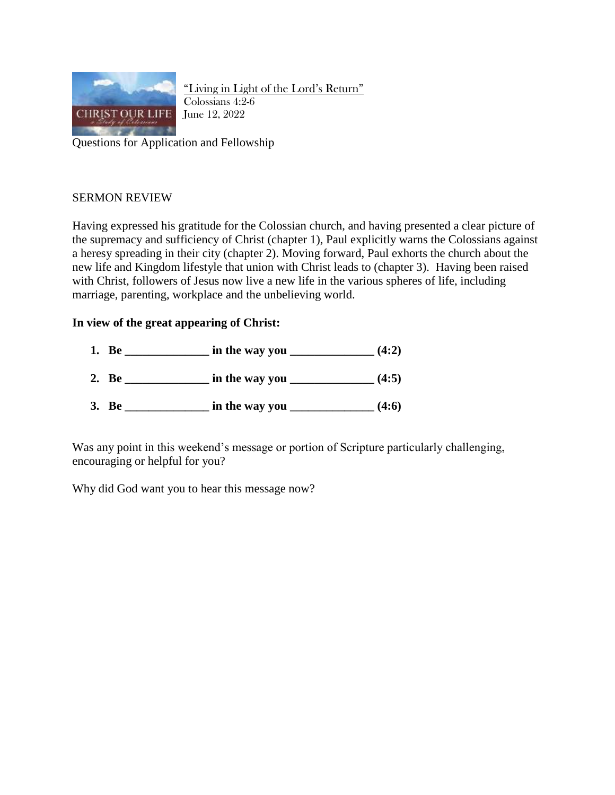

"Living in Light of the Lord's Return" Colossians 4:2-6 June 12, 2022

Questions for Application and Fellowship

## SERMON REVIEW

Having expressed his gratitude for the Colossian church, and having presented a clear picture of the supremacy and sufficiency of Christ (chapter 1), Paul explicitly warns the Colossians against a heresy spreading in their city (chapter 2). Moving forward, Paul exhorts the church about the new life and Kingdom lifestyle that union with Christ leads to (chapter 3). Having been raised with Christ, followers of Jesus now live a new life in the various spheres of life, including marriage, parenting, workplace and the unbelieving world.

## **In view of the great appearing of Christ:**

**1. Be \_\_\_\_\_\_\_\_\_\_\_\_\_\_ in the way you \_\_\_\_\_\_\_\_\_\_\_\_\_\_ (4:2) 2. Be \_\_\_\_\_\_\_\_\_\_\_\_\_\_ in the way you \_\_\_\_\_\_\_\_\_\_\_\_\_\_ (4:5) 3. Be \_\_\_\_\_\_\_\_\_\_\_\_\_\_ in the way you \_\_\_\_\_\_\_\_\_\_\_\_\_\_ (4:6)**

Was any point in this weekend's message or portion of Scripture particularly challenging, encouraging or helpful for you?

Why did God want you to hear this message now?